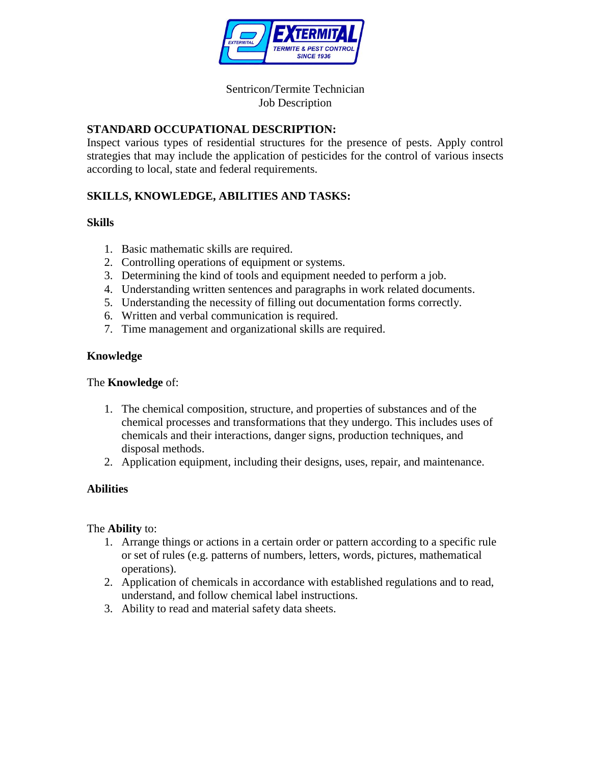

### Sentricon/Termite Technician Job Description

# **STANDARD OCCUPATIONAL DESCRIPTION:**

Inspect various types of residential structures for the presence of pests. Apply control strategies that may include the application of pesticides for the control of various insects according to local, state and federal requirements.

# **SKILLS, KNOWLEDGE, ABILITIES AND TASKS:**

### **Skills**

- 1. Basic mathematic skills are required.
- 2. Controlling operations of equipment or systems.
- 3. Determining the kind of tools and equipment needed to perform a job.
- 4. Understanding written sentences and paragraphs in work related documents.
- 5. Understanding the necessity of filling out documentation forms correctly.
- 6. Written and verbal communication is required.
- 7. Time management and organizational skills are required.

### **Knowledge**

#### The **Knowledge** of:

- 1. The chemical composition, structure, and properties of substances and of the chemical processes and transformations that they undergo. This includes uses of chemicals and their interactions, danger signs, production techniques, and disposal methods.
- 2. Application equipment, including their designs, uses, repair, and maintenance.

## **Abilities**

#### The **Ability** to:

- 1. Arrange things or actions in a certain order or pattern according to a specific rule or set of rules (e.g. patterns of numbers, letters, words, pictures, mathematical operations).
- 2. Application of chemicals in accordance with established regulations and to read, understand, and follow chemical label instructions.
- 3. Ability to read and material safety data sheets.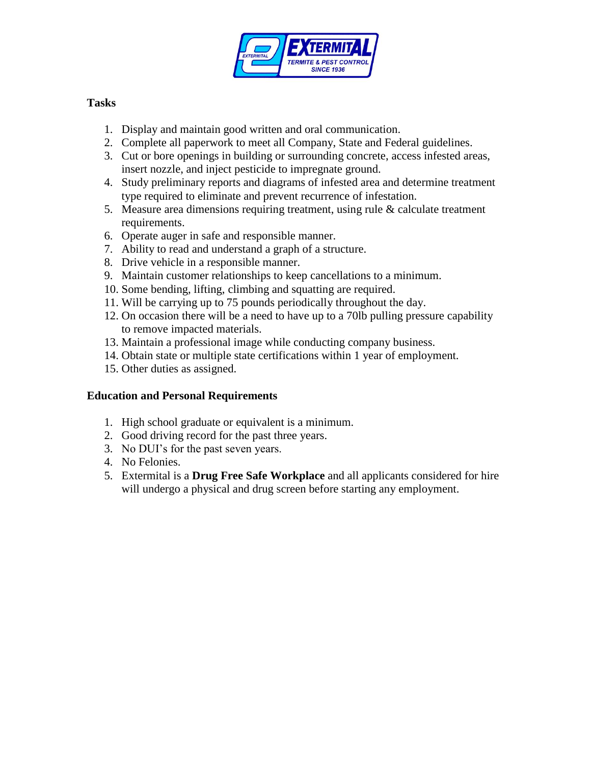

# **Tasks**

- 1. Display and maintain good written and oral communication.
- 2. Complete all paperwork to meet all Company, State and Federal guidelines.
- 3. Cut or bore openings in building or surrounding concrete, access infested areas, insert nozzle, and inject pesticide to impregnate ground.
- 4. Study preliminary reports and diagrams of infested area and determine treatment type required to eliminate and prevent recurrence of infestation.
- 5. Measure area dimensions requiring treatment, using rule & calculate treatment requirements.
- 6. Operate auger in safe and responsible manner.
- 7. Ability to read and understand a graph of a structure.
- 8. Drive vehicle in a responsible manner.
- 9. Maintain customer relationships to keep cancellations to a minimum.
- 10. Some bending, lifting, climbing and squatting are required.
- 11. Will be carrying up to 75 pounds periodically throughout the day.
- 12. On occasion there will be a need to have up to a 70lb pulling pressure capability to remove impacted materials.
- 13. Maintain a professional image while conducting company business.
- 14. Obtain state or multiple state certifications within 1 year of employment.
- 15. Other duties as assigned.

## **Education and Personal Requirements**

- 1. High school graduate or equivalent is a minimum.
- 2. Good driving record for the past three years.
- 3. No DUI's for the past seven years.
- 4. No Felonies.
- 5. Extermital is a **Drug Free Safe Workplace** and all applicants considered for hire will undergo a physical and drug screen before starting any employment.